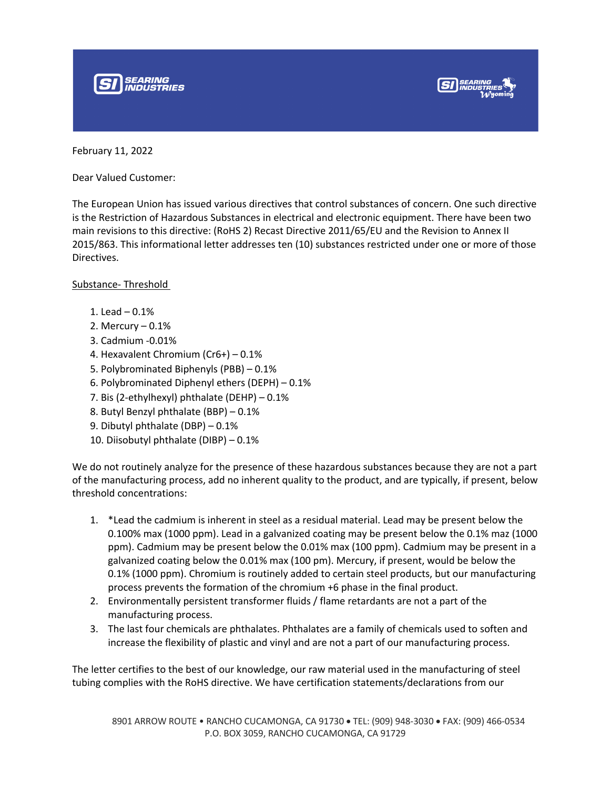



February 11, 2022

Dear Valued Customer:

The European Union has issued various directives that control substances of concern. One such directive is the Restriction of Hazardous Substances in electrical and electronic equipment. There have been two main revisions to this directive: (RoHS 2) Recast Directive 2011/65/EU and the Revision to Annex II 2015/863. This informational letter addresses ten (10) substances restricted under one or more of those Directives.

## Substance- Threshold

- 1. Lead 0.1%
- 2. Mercury 0.1%
- 3. Cadmium -0.01%
- 4. Hexavalent Chromium (Cr6+) 0.1%
- 5. Polybrominated Biphenyls (PBB) 0.1%
- 6. Polybrominated Diphenyl ethers (DEPH) 0.1%
- 7. Bis (2-ethylhexyl) phthalate (DEHP) 0.1%
- 8. Butyl Benzyl phthalate (BBP) 0.1%
- 9. Dibutyl phthalate (DBP) 0.1%
- 10. Diisobutyl phthalate (DIBP) 0.1%

We do not routinely analyze for the presence of these hazardous substances because they are not a part of the manufacturing process, add no inherent quality to the product, and are typically, if present, below threshold concentrations:

- 1. \*Lead the cadmium is inherent in steel as a residual material. Lead may be present below the 0.100% max (1000 ppm). Lead in a galvanized coating may be present below the 0.1% maz (1000 ppm). Cadmium may be present below the 0.01% max (100 ppm). Cadmium may be present in a galvanized coating below the 0.01% max (100 pm). Mercury, if present, would be below the 0.1% (1000 ppm). Chromium is routinely added to certain steel products, but our manufacturing process prevents the formation of the chromium +6 phase in the final product.
- 2. Environmentally persistent transformer fluids / flame retardants are not a part of the manufacturing process.
- 3. The last four chemicals are phthalates. Phthalates are a family of chemicals used to soften and increase the flexibility of plastic and vinyl and are not a part of our manufacturing process.

The letter certifies to the best of our knowledge, our raw material used in the manufacturing of steel tubing complies with the RoHS directive. We have certification statements/declarations from our